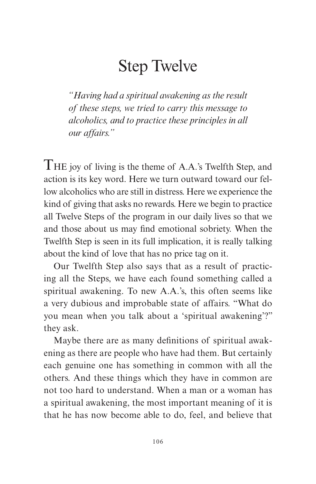## Step Twelve

*"Having had a spiritual awakening as the result of these steps, we tried to carry this message to alcoholics, and to practice these principles in all our affairs."*

THE joy of living is the theme of A.A.'s Twelfth Step, and action is its key word. Here we turn outward toward our fellow alcoholics who are still in distress. Here we experience the kind of giving that asks no rewards. Here we begin to practice all Twelve Steps of the program in our daily lives so that we and those about us may find emotional sobriety. When the Twelfth Step is seen in its full implication, it is really talking about the kind of love that has no price tag on it.

Our Twelfth Step also says that as a result of practicing all the Steps, we have each found something called a spiritual awakening. To new A.A.'s, this often seems like a very dubious and improbable state of affairs. "What do you mean when you talk about a 'spiritual awakening'?" they ask.

Maybe there are as many definitions of spiritual awakening as there are people who have had them. But certainly each genuine one has something in common with all the others. And these things which they have in common are not too hard to understand. When a man or a woman has a spiritual awakening, the most important meaning of it is that he has now become able to do, feel, and believe that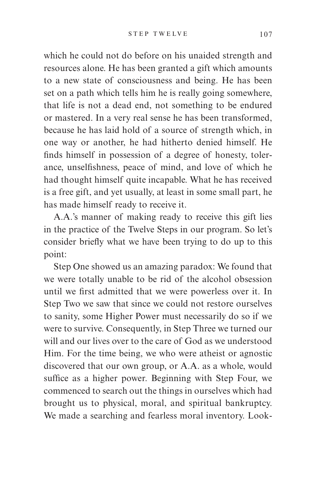which he could not do before on his unaided strength and resources alone. He has been granted a gift which amounts to a new state of consciousness and being. He has been set on a path which tells him he is really going somewhere, that life is not a dead end, not something to be endured or mastered. In a very real sense he has been transformed, because he has laid hold of a source of strength which, in one way or another, he had hitherto denied himself. He finds himself in possession of a degree of honesty, tolerance, unselfishness, peace of mind, and love of which he had thought himself quite incapable. What he has received is a free gift, and yet usually, at least in some small part, he has made himself ready to receive it.

A.A.'s manner of making ready to receive this gift lies in the practice of the Twelve Steps in our program. So let's consider briefly what we have been trying to do up to this point:

Step One showed us an amazing paradox: We found that we were totally unable to be rid of the alcohol obsession until we first admitted that we were powerless over it. In Step Two we saw that since we could not restore ourselves to sanity, some Higher Power must necessarily do so if we were to survive. Consequently, in Step Three we turned our will and our lives over to the care of God as we understood Him. For the time being, we who were atheist or agnostic discovered that our own group, or A.A. as a whole, would suffice as a higher power. Beginning with Step Four, we commenced to search out the things in ourselves which had brought us to physical, moral, and spiritual bankruptcy. We made a searching and fearless moral inventory. Look-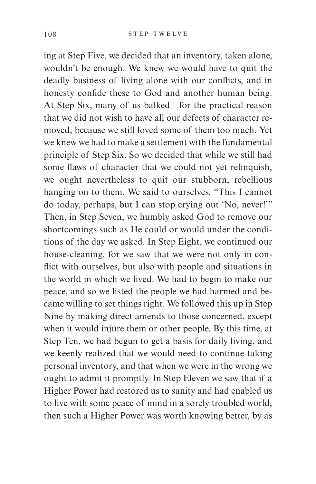ing at Step Five, we decided that an inventory, taken alone, wouldn't be enough. We knew we would have to quit the deadly business of living alone with our conflicts, and in honesty confide these to God and another human being. At Step Six, many of us balked—for the practical reason that we did not wish to have all our defects of character removed, because we still loved some of them too much. Yet we knew we had to make a settlement with the fundamental principle of Step Six. So we decided that while we still had some flaws of character that we could not yet relinquish, we ought nevertheless to quit our stubborn, rebellious hanging on to them. We said to ourselves, "This I cannot do today, perhaps, but I can stop crying out 'No, never!'" Then, in Step Seven, we humbly asked God to remove our shortcomings such as He could or would under the conditions of the day we asked. In Step Eight, we continued our house-cleaning, for we saw that we were not only in conflict with ourselves, but also with people and situations in the world in which we lived. We had to begin to make our peace, and so we listed the people we had harmed and became willing to set things right. We followed this up in Step Nine by making direct amends to those concerned, except when it would injure them or other people. By this time, at Step Ten, we had begun to get a basis for daily living, and we keenly realized that we would need to continue taking personal inventory, and that when we were in the wrong we ought to admit it promptly. In Step Eleven we saw that if a Higher Power had restored us to sanity and had enabled us to live with some peace of mind in a sorely troubled world, then such a Higher Power was worth knowing better, by as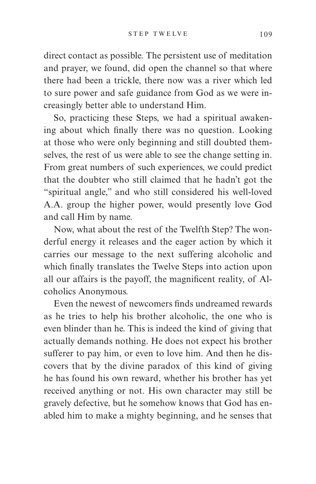direct contact as possible. The persistent use of meditation and prayer, we found, did open the channel so that where there had been a trickle, there now was a river which led to sure power and safe guidance from God as we were increasingly better able to understand Him.

So, practicing these Steps, we had a spiritual awakening about which finally there was no question. Looking at those who were only beginning and still doubted themselves, the rest of us were able to see the change setting in. From great numbers of such experiences, we could predict that the doubter who still claimed that he hadn't got the "spiritual angle," and who still considered his well-loved A.A. group the higher power, would presently love God and call Him by name.

Now, what about the rest of the Twelfth Step? The wonderful energy it releases and the eager action by which it carries our message to the next suffering alcoholic and which finally translates the Twelve Steps into action upon all our affairs is the payoff, the magnificent reality, of Alcoholics Anonymous.

Even the newest of newcomers finds undreamed rewards as he tries to help his brother alcoholic, the one who is even blinder than he. This is indeed the kind of giving that actually demands nothing. He does not expect his brother sufferer to pay him, or even to love him. And then he discovers that by the divine paradox of this kind of giving he has found his own reward, whether his brother has yet received anything or not. His own character may still be gravely defective, but he somehow knows that God has enabled him to make a mighty beginning, and he senses that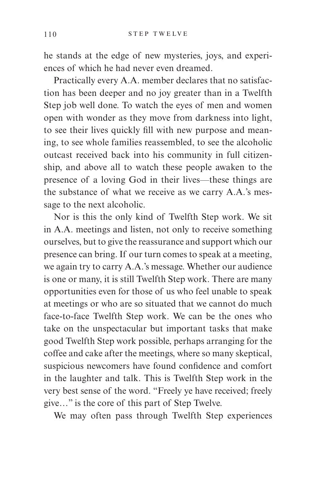he stands at the edge of new mysteries, joys, and experiences of which he had never even dreamed.

Practically every A.A. member declares that no satisfaction has been deeper and no joy greater than in a Twelfth Step job well done. To watch the eyes of men and women open with wonder as they move from darkness into light, to see their lives quickly fill with new purpose and meaning, to see whole families reassembled, to see the alcoholic outcast received back into his community in full citizenship, and above all to watch these people awaken to the presence of a loving God in their lives—these things are the substance of what we receive as we carry A.A.'s message to the next alcoholic.

Nor is this the only kind of Twelfth Step work. We sit in A.A. meetings and listen, not only to receive something ourselves, but to give the reassurance and support which our presence can bring. If our turn comes to speak at a meeting, we again try to carry A.A.'s message. Whether our audience is one or many, it is still Twelfth Step work. There are many opportunities even for those of us who feel unable to speak at meetings or who are so situated that we cannot do much face-to-face Twelfth Step work. We can be the ones who take on the unspectacular but important tasks that make good Twelfth Step work possible, perhaps arranging for the coffee and cake after the meetings, where so many skeptical, suspicious newcomers have found confidence and comfort in the laughter and talk. This is Twelfth Step work in the very best sense of the word. "Freely ye have received; freely give…" is the core of this part of Step Twelve.

We may often pass through Twelfth Step experiences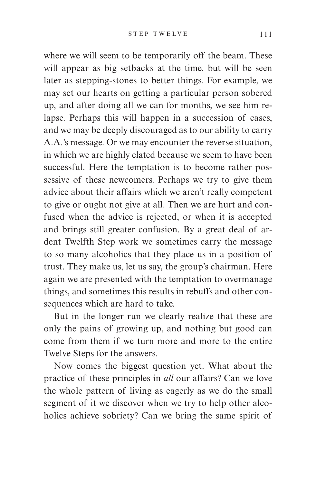where we will seem to be temporarily off the beam. These will appear as big setbacks at the time, but will be seen later as stepping-stones to better things. For example, we may set our hearts on getting a particular person sobered up, and after doing all we can for months, we see him relapse. Perhaps this will happen in a succession of cases, and we may be deeply discouraged as to our ability to carry A.A.'s message. Or we may encounter the reverse situation, in which we are highly elated because we seem to have been successful. Here the temptation is to become rather possessive of these newcomers. Perhaps we try to give them advice about their affairs which we aren't really competent to give or ought not give at all. Then we are hurt and confused when the advice is rejected, or when it is accepted and brings still greater confusion. By a great deal of ardent Twelfth Step work we sometimes carry the message to so many alcoholics that they place us in a position of trust. They make us, let us say, the group's chairman. Here again we are presented with the temptation to overmanage things, and sometimes this results in rebuffs and other consequences which are hard to take.

But in the longer run we clearly realize that these are only the pains of growing up, and nothing but good can come from them if we turn more and more to the entire Twelve Steps for the answers.

Now comes the biggest question yet. What about the practice of these principles in *all* our affairs? Can we love the whole pattern of living as eagerly as we do the small segment of it we discover when we try to help other alcoholics achieve sobriety? Can we bring the same spirit of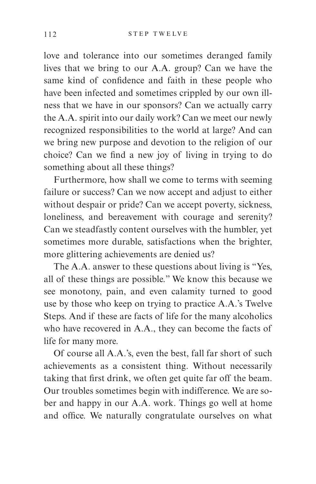love and tolerance into our sometimes deranged family lives that we bring to our A.A. group? Can we have the same kind of confidence and faith in these people who have been infected and sometimes crippled by our own illness that we have in our sponsors? Can we actually carry the A.A. spirit into our daily work? Can we meet our newly recognized responsibilities to the world at large? And can we bring new purpose and devotion to the religion of our choice? Can we find a new joy of living in trying to do something about all these things?

Furthermore, how shall we come to terms with seeming failure or success? Can we now accept and adjust to either without despair or pride? Can we accept poverty, sickness, loneliness, and bereavement with courage and serenity? Can we steadfastly content ourselves with the humbler, yet sometimes more durable, satisfactions when the brighter, more glittering achievements are denied us?

The A.A. answer to these questions about living is "Yes, all of these things are possible." We know this because we see monotony, pain, and even calamity turned to good use by those who keep on trying to practice A.A.'s Twelve Steps. And if these are facts of life for the many alcoholics who have recovered in A.A., they can become the facts of life for many more.

Of course all A.A.'s, even the best, fall far short of such achievements as a consistent thing. Without necessarily taking that first drink, we often get quite far off the beam. Our troubles sometimes begin with indifference. We are sober and happy in our A.A. work. Things go well at home and office. We naturally congratulate ourselves on what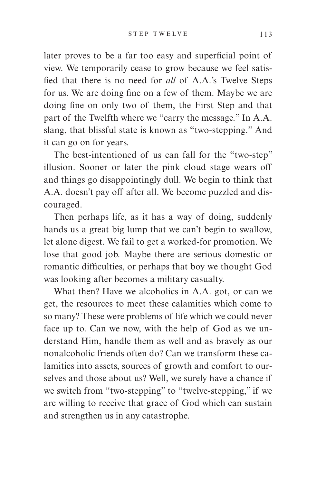later proves to be a far too easy and superficial point of view. We temporarily cease to grow because we feel satisfied that there is no need for all of A.A.'s Twelve Steps for us. We are doing fine on a few of them. Maybe we are doing fine on only two of them, the First Step and that part of the Twelfth where we "carry the message." In A.A. slang, that blissful state is known as "two-stepping." And it can go on for years.

The best-intentioned of us can fall for the "two-step" illusion. Sooner or later the pink cloud stage wears off and things go disappointingly dull. We begin to think that A.A. doesn't pay off after all. We become puzzled and discouraged.

Then perhaps life, as it has a way of doing, suddenly hands us a great big lump that we can't begin to swallow, let alone digest. We fail to get a worked-for promotion. We lose that good job. Maybe there are serious domestic or romantic difficulties, or perhaps that boy we thought God was looking after becomes a military casualty.

What then? Have we alcoholics in A.A. got, or can we get, the resources to meet these calamities which come to so many? These were problems of life which we could never face up to. Can we now, with the help of God as we understand Him, handle them as well and as bravely as our nonalcoholic friends often do? Can we transform these calamities into assets, sources of growth and comfort to ourselves and those about us? Well, we surely have a chance if we switch from "two-stepping" to "twelve-stepping," if we are willing to receive that grace of God which can sustain and strengthen us in any catastrophe.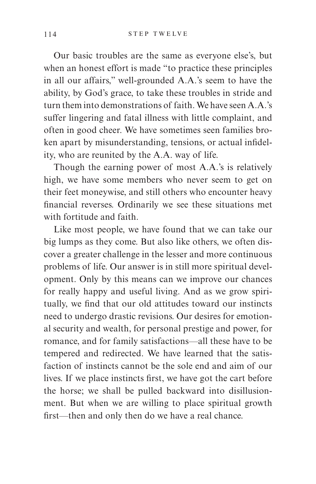Our basic troubles are the same as everyone else's, but when an honest effort is made "to practice these principles in all our affairs," well-grounded A.A.'s seem to have the ability, by God's grace, to take these troubles in stride and turn them into demonstrations of faith. We have seen A.A.'s suffer lingering and fatal illness with little complaint, and often in good cheer. We have sometimes seen families broken apart by misunderstanding, tensions, or actual infidelity, who are reunited by the A.A. way of life.

Though the earning power of most A.A.'s is relatively high, we have some members who never seem to get on their feet moneywise, and still others who encounter heavy financial reverses. Ordinarily we see these situations met with fortitude and faith.

Like most people, we have found that we can take our big lumps as they come. But also like others, we often discover a greater challenge in the lesser and more continuous problems of life. Our answer is in still more spiritual development. Only by this means can we improve our chances for really happy and useful living. And as we grow spiritually, we find that our old attitudes toward our instincts need to undergo drastic revisions. Our desires for emotional security and wealth, for personal prestige and power, for romance, and for family satisfactions—all these have to be tempered and redirected. We have learned that the satisfaction of instincts cannot be the sole end and aim of our lives. If we place instincts first, we have got the cart before the horse; we shall be pulled backward into disillusionment. But when we are willing to place spiritual growth first—then and only then do we have a real chance.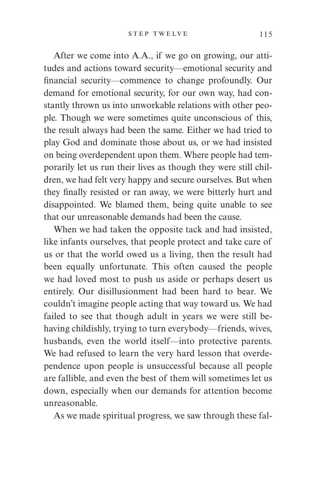After we come into A.A., if we go on growing, our attitudes and actions toward security—emotional security and financial security—commence to change profoundly. Our demand for emotional security, for our own way, had constantly thrown us into unworkable relations with other people. Though we were sometimes quite unconscious of this, the result always had been the same. Either we had tried to play God and dominate those about us, or we had insisted on being overdependent upon them. Where people had temporarily let us run their lives as though they were still children, we had felt very happy and secure ourselves. But when they finally resisted or ran away, we were bitterly hurt and disappointed. We blamed them, being quite unable to see that our unreasonable demands had been the cause.

When we had taken the opposite tack and had insisted, like infants ourselves, that people protect and take care of us or that the world owed us a living, then the result had been equally unfortunate. This often caused the people we had loved most to push us aside or perhaps desert us entirely. Our disillusionment had been hard to bear. We couldn't imagine people acting that way toward us. We had failed to see that though adult in years we were still behaving childishly, trying to turn everybody—friends, wives, husbands, even the world itself—into protective parents. We had refused to learn the very hard lesson that overdependence upon people is unsuccessful because all people are fallible, and even the best of them will sometimes let us down, especially when our demands for attention become unreasonable.

As we made spiritual progress, we saw through these fal-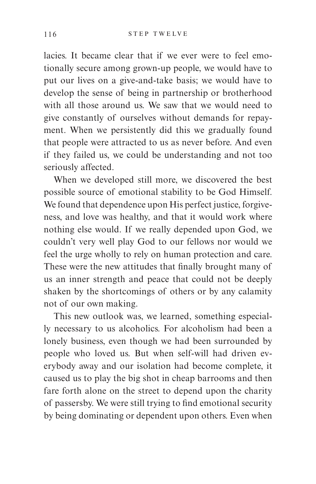lacies. It became clear that if we ever were to feel emotionally secure among grown-up people, we would have to put our lives on a give-and-take basis; we would have to develop the sense of being in partnership or brotherhood with all those around us. We saw that we would need to give constantly of ourselves without demands for repayment. When we persistently did this we gradually found that people were attracted to us as never before. And even if they failed us, we could be understanding and not too seriously affected.

When we developed still more, we discovered the best possible source of emotional stability to be God Himself. We found that dependence upon His perfect justice, forgiveness, and love was healthy, and that it would work where nothing else would. If we really depended upon God, we couldn't very well play God to our fellows nor would we feel the urge wholly to rely on human protection and care. These were the new attitudes that finally brought many of us an inner strength and peace that could not be deeply shaken by the shortcomings of others or by any calamity not of our own making.

This new outlook was, we learned, something especially necessary to us alcoholics. For alcoholism had been a lonely business, even though we had been surrounded by people who loved us. But when self-will had driven everybody away and our isolation had become complete, it caused us to play the big shot in cheap barrooms and then fare forth alone on the street to depend upon the charity of passersby. We were still trying to find emotional security by being dominating or dependent upon others. Even when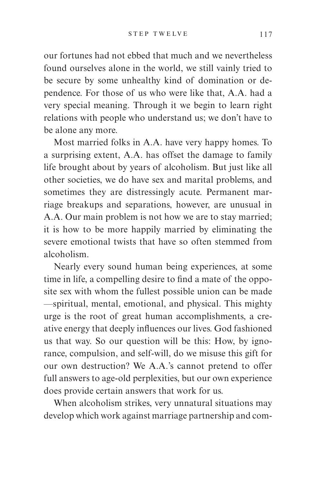our fortunes had not ebbed that much and we nevertheless found ourselves alone in the world, we still vainly tried to be secure by some unhealthy kind of domination or dependence. For those of us who were like that, A.A. had a very special meaning. Through it we begin to learn right relations with people who understand us; we don't have to be alone any more.

Most married folks in A.A. have very happy homes. To a surprising extent, A.A. has offset the damage to family life brought about by years of alcoholism. But just like all other societies, we do have sex and marital problems, and sometimes they are distressingly acute. Permanent marriage breakups and separations, however, are unusual in A.A. Our main problem is not how we are to stay married; it is how to be more happily married by eliminating the severe emotional twists that have so often stemmed from alcoholism.

Nearly every sound human being experiences, at some time in life, a compelling desire to find a mate of the opposite sex with whom the fullest possible union can be made —spiritual, mental, emotional, and physical. This mighty urge is the root of great human accomplishments, a creative energy that deeply influences our lives. God fashioned us that way. So our question will be this: How, by ignorance, compulsion, and self-will, do we misuse this gift for our own destruction? We A.A.'s cannot pretend to offer full answers to age-old perplexities, but our own experience does provide certain answers that work for us.

When alcoholism strikes, very unnatural situations may develop which work against marriage partnership and com-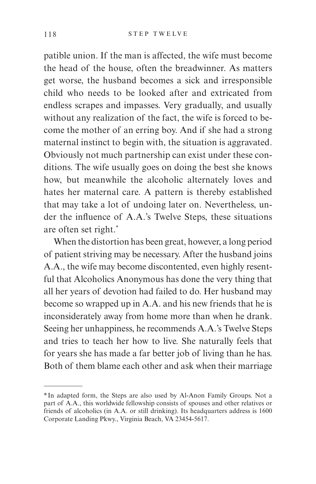patible union. If the man is affected, the wife must become the head of the house, often the breadwinner. As matters get worse, the husband becomes a sick and irresponsible child who needs to be looked after and extricated from endless scrapes and impasses. Very gradually, and usually without any realization of the fact, the wife is forced to become the mother of an erring boy. And if she had a strong maternal instinct to begin with, the situation is aggravated. Obviously not much partnership can exist under these conditions. The wife usually goes on doing the best she knows how, but meanwhile the alcoholic alternately loves and hates her maternal care. A pattern is thereby established that may take a lot of undoing later on. Nevertheless, under the influence of A.A.'s Twelve Steps, these situations are often set right.\*

When the distortion has been great, however, a long period of patient striving may be necessary. After the husband joins A.A., the wife may become discontented, even highly resentful that Alcoholics Anonymous has done the very thing that all her years of devotion had failed to do. Her husband may become so wrapped up in A.A. and his new friends that he is inconsiderately away from home more than when he drank. Seeing her unhappiness, he recommends A.A.'s Twelve Steps and tries to teach her how to live. She naturally feels that for years she has made a far better job of living than he has. Both of them blame each other and ask when their marriage

<sup>\*</sup> In adapted form, the Steps are also used by Al-Anon Family Groups. Not a part of A.A., this worldwide fellowship consists of spouses and other relatives or friends of alcoholics (in A.A. or still drinking). Its headquarters address is 1600 Corporate Landing Pkwy., Virginia Beach, VA 23454-5617.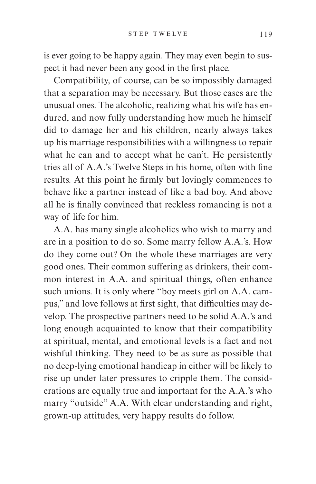is ever going to be happy again. They may even begin to suspect it had never been any good in the first place.

Compatibility, of course, can be so impossibly damaged that a separation may be necessary. But those cases are the unusual ones. The alcoholic, realizing what his wife has endured, and now fully understanding how much he himself did to damage her and his children, nearly always takes up his marriage responsibilities with a willingness to repair what he can and to accept what he can't. He persistently tries all of A.A.'s Twelve Steps in his home, often with fine results. At this point he firmly but lovingly commences to behave like a partner instead of like a bad boy. And above all he is finally convinced that reckless romancing is not a way of life for him.

A.A. has many single alcoholics who wish to marry and are in a position to do so. Some marry fellow A.A.'s. How do they come out? On the whole these marriages are very good ones. Their common suffering as drinkers, their common interest in A.A. and spiritual things, often enhance such unions. It is only where "boy meets girl on A.A. campus," and love follows at first sight, that difficulties may develop. The prospective partners need to be solid A.A.'s and long enough acquainted to know that their compatibility at spiritual, mental, and emotional levels is a fact and not wishful thinking. They need to be as sure as possible that no deep-lying emotional handicap in either will be likely to rise up under later pressures to cripple them. The considerations are equally true and important for the A.A.'s who marry "outside" A.A. With clear understanding and right, grown-up attitudes, very happy results do follow.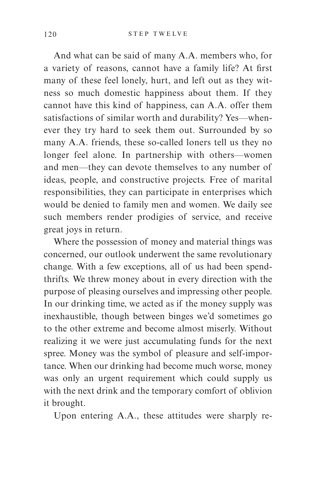And what can be said of many A.A. members who, for a variety of reasons, cannot have a family life? At first many of these feel lonely, hurt, and left out as they witness so much domestic happiness about them. If they cannot have this kind of happiness, can A.A. offer them satisfactions of similar worth and durability? Yes—whenever they try hard to seek them out. Surrounded by so many A.A. friends, these so-called loners tell us they no longer feel alone. In partnership with others—women and men—they can devote themselves to any number of ideas, people, and constructive projects. Free of marital responsibilities, they can participate in enterprises which would be denied to family men and women. We daily see such members render prodigies of service, and receive great joys in return.

Where the possession of money and material things was concerned, our outlook underwent the same revolutionary change. With a few exceptions, all of us had been spendthrifts. We threw money about in every direction with the purpose of pleasing ourselves and impressing other people. In our drinking time, we acted as if the money supply was inexhaustible, though between binges we'd sometimes go to the other extreme and become almost miserly. Without realizing it we were just accumulating funds for the next spree. Money was the symbol of pleasure and self-importance. When our drinking had become much worse, money was only an urgent requirement which could supply us with the next drink and the temporary comfort of oblivion it brought.

Upon entering A.A., these attitudes were sharply re-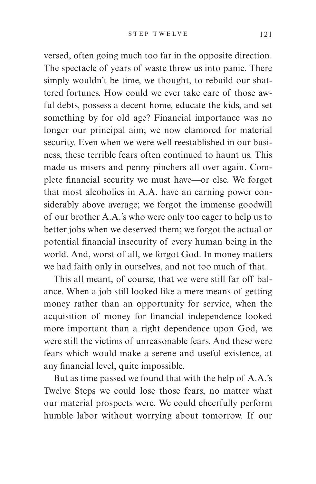versed, often going much too far in the opposite direction. The spectacle of years of waste threw us into panic. There simply wouldn't be time, we thought, to rebuild our shattered fortunes. How could we ever take care of those awful debts, possess a decent home, educate the kids, and set something by for old age? Financial importance was no longer our principal aim; we now clamored for material security. Even when we were well reestablished in our business, these terrible fears often continued to haunt us. This made us misers and penny pinchers all over again. Complete financial security we must have—or else. We forgot that most alcoholics in A.A. have an earning power considerably above average; we forgot the immense goodwill of our brother A.A.'s who were only too eager to help us to better jobs when we deserved them; we forgot the actual or potential financial insecurity of every human being in the world. And, worst of all, we forgot God. In money matters we had faith only in ourselves, and not too much of that.

This all meant, of course, that we were still far off balance. When a job still looked like a mere means of getting money rather than an opportunity for service, when the acquisition of money for financial independence looked more important than a right dependence upon God, we were still the victims of unreasonable fears. And these were fears which would make a serene and useful existence, at any financial level, quite impossible.

But as time passed we found that with the help of A.A.'s Twelve Steps we could lose those fears, no matter what our material prospects were. We could cheerfully perform humble labor without worrying about tomorrow. If our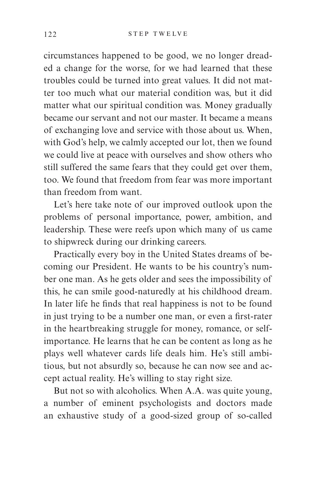circumstances happened to be good, we no longer dreaded a change for the worse, for we had learned that these troubles could be turned into great values. It did not matter too much what our material condition was, but it did matter what our spiritual condition was. Money gradually became our servant and not our master. It became a means of exchanging love and service with those about us. When, with God's help, we calmly accepted our lot, then we found we could live at peace with ourselves and show others who still suffered the same fears that they could get over them, too. We found that freedom from fear was more important than freedom from want.

Let's here take note of our improved outlook upon the problems of personal importance, power, ambition, and leadership. These were reefs upon which many of us came to shipwreck during our drinking careers.

Practically every boy in the United States dreams of becoming our President. He wants to be his country's number one man. As he gets older and sees the impossibility of this, he can smile good-naturedly at his childhood dream. In later life he finds that real happiness is not to be found in just trying to be a number one man, or even a first-rater in the heartbreaking struggle for money, romance, or selfimportance. He learns that he can be content as long as he plays well whatever cards life deals him. He's still ambitious, but not absurdly so, because he can now see and accept actual reality. He's willing to stay right size.

But not so with alcoholics. When A.A. was quite young, a number of eminent psychologists and doctors made an exhaustive study of a good-sized group of so-called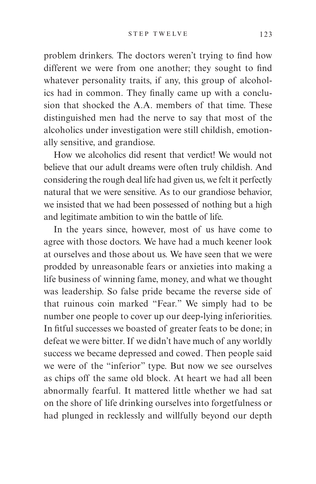problem drinkers. The doctors weren't trying to find how different we were from one another; they sought to find whatever personality traits, if any, this group of alcoholics had in common. They finally came up with a conclusion that shocked the A.A. members of that time. These distinguished men had the nerve to say that most of the alcoholics under investigation were still childish, emotionally sensitive, and grandiose.

How we alcoholics did resent that verdict! We would not believe that our adult dreams were often truly childish. And considering the rough deal life had given us, we felt it perfectly natural that we were sensitive. As to our grandiose behavior, we insisted that we had been possessed of nothing but a high and legitimate ambition to win the battle of life.

In the years since, however, most of us have come to agree with those doctors. We have had a much keener look at ourselves and those about us. We have seen that we were prodded by unreasonable fears or anxieties into making a life business of winning fame, money, and what we thought was leadership. So false pride became the reverse side of that ruinous coin marked "Fear." We simply had to be number one people to cover up our deep-lying inferiorities. In fitful successes we boasted of greater feats to be done; in defeat we were bitter. If we didn't have much of any worldly success we became depressed and cowed. Then people said we were of the "inferior" type. But now we see ourselves as chips off the same old block. At heart we had all been abnormally fearful. It mattered little whether we had sat on the shore of life drinking ourselves into forgetfulness or had plunged in recklessly and willfully beyond our depth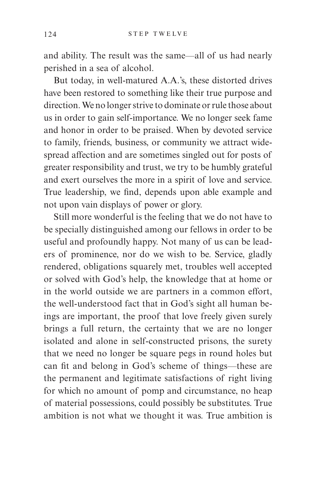and ability. The result was the same—all of us had nearly perished in a sea of alcohol.

But today, in well-matured A.A.'s, these distorted drives have been restored to something like their true purpose and direction. We no longer strive to dominate or rule those about us in order to gain self-importance. We no longer seek fame and honor in order to be praised. When by devoted service to family, friends, business, or community we attract widespread affection and are sometimes singled out for posts of greater responsibility and trust, we try to be humbly grateful and exert ourselves the more in a spirit of love and service. True leadership, we find, depends upon able example and not upon vain displays of power or glory.

Still more wonderful is the feeling that we do not have to be specially distinguished among our fellows in order to be useful and profoundly happy. Not many of us can be leaders of prominence, nor do we wish to be. Service, gladly rendered, obligations squarely met, troubles well accepted or solved with God's help, the knowledge that at home or in the world outside we are partners in a common effort, the well-understood fact that in God's sight all human beings are important, the proof that love freely given surely brings a full return, the certainty that we are no longer isolated and alone in self-constructed prisons, the surety that we need no longer be square pegs in round holes but can fit and belong in God's scheme of things—these are the permanent and legitimate satisfactions of right living for which no amount of pomp and circumstance, no heap of material possessions, could possibly be substitutes. True ambition is not what we thought it was. True ambition is